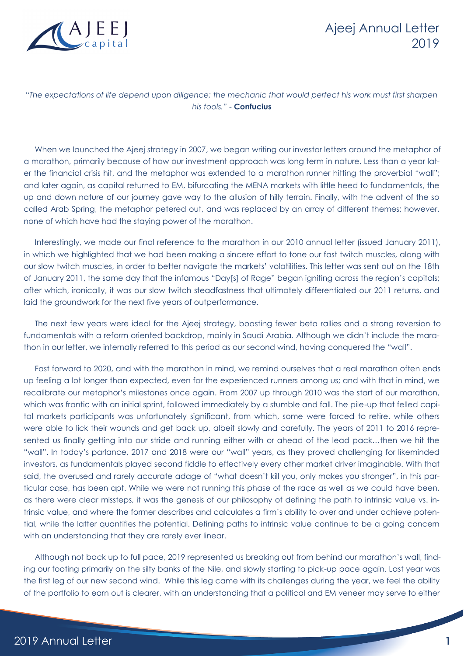

#### "*The expectations of life depend upon diligence; the mechanic that would perfect his work must first sharpen his tools.*" - **Confucius**

When we launched the Ajeej strategy in 2007, we began writing our investor letters around the metaphor of a marathon, primarily because of how our investment approach was long term in nature. Less than a year later the financial crisis hit, and the metaphor was extended to a marathon runner hitting the proverbial "wall"; and later again, as capital returned to EM, bifurcating the MENA markets with little heed to fundamentals, the up and down nature of our journey gave way to the allusion of hilly terrain. Finally, with the advent of the so called Arab Spring, the metaphor petered out, and was replaced by an array of different themes; however, none of which have had the staying power of the marathon.

Interestingly, we made our final reference to the marathon in our 2010 annual letter (issued January 2011), in which we highlighted that we had been making a sincere effort to tone our fast twitch muscles, along with our slow twitch muscles, in order to better navigate the markets' volatilities. This letter was sent out on the 18th of January 2011, the same day that the infamous "Day[s] of Rage" began igniting across the region's capitals; after which, ironically, it was our slow twitch steadfastness that ultimately differentiated our 2011 returns, and laid the groundwork for the next five years of outperformance.

The next few years were ideal for the Ajeej strategy, boasting fewer beta rallies and a strong reversion to fundamentals with a reform oriented backdrop, mainly in Saudi Arabia. Although we didn't include the marathon in our letter, we internally referred to this period as our second wind, having conquered the "wall".

Fast forward to 2020, and with the marathon in mind, we remind ourselves that a real marathon often ends up feeling a lot longer than expected, even for the experienced runners among us; and with that in mind, we recalibrate our metaphor's milestones once again. From 2007 up through 2010 was the start of our marathon, which was frantic with an initial sprint, followed immediately by a stumble and fall. The pile-up that felled capital markets participants was unfortunately significant, from which, some were forced to retire, while others were able to lick their wounds and get back up, albeit slowly and carefully. The years of 2011 to 2016 represented us finally getting into our stride and running either with or ahead of the lead pack…then we hit the "wall". In today's parlance, 2017 and 2018 were our "wall" years, as they proved challenging for likeminded investors, as fundamentals played second fiddle to effectively every other market driver imaginable. With that said, the overused and rarely accurate adage of "what doesn't kill you, only makes you stronger", in this particular case, has been apt. While we were not running this phase of the race as well as we could have been, as there were clear missteps, it was the genesis of our philosophy of defining the path to intrinsic value vs. intrinsic value, and where the former describes and calculates a firm's ability to over and under achieve potential, while the latter quantifies the potential. Defining paths to intrinsic value continue to be a going concern with an understanding that they are rarely ever linear.

Although not back up to full pace, 2019 represented us breaking out from behind our marathon's wall, finding our footing primarily on the silty banks of the Nile, and slowly starting to pick-up pace again. Last year was the first leg of our new second wind. While this leg came with its challenges during the year, we feel the ability of the portfolio to earn out is clearer, with an understanding that a political and EM veneer may serve to either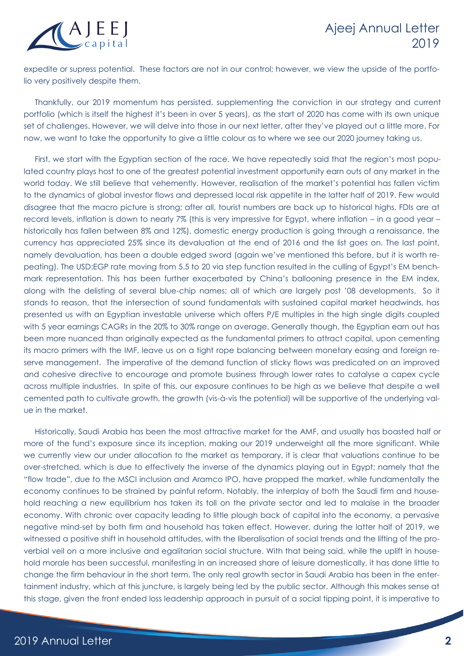

expedite or supress potential. These factors are not in our control; however, we view the upside of the portfolio very positively despite them.

Thankfully, our 2019 momentum has persisted, supplementing the conviction in our strategy and current portfolio (which is itself the highest it's been in over 5 years), as the start of 2020 has come with its own unique set of challenges. However, we will delve into those in our next letter, after they've played out a little more. For now, we want to take the opportunity to give a little colour as to where we see our 2020 journey taking us.

First, we start with the Egyptian section of the race. We have repeatedly said that the region's most populated country plays host to one of the greatest potential investment opportunity earn outs of any market in the world today. We still believe that vehemently. However, realisation of the market's potential has fallen victim to the dynamics of global investor flows and depressed local risk appetite in the latter half of 2019. Few would disagree that the macro picture is strong; after all, tourist numbers are back up to historical highs, FDIs are at record levels, inflation is down to nearly 7% (this is very impressive for Egypt, where inflation – in a good year – historically has fallen between 8% and 12%), domestic energy production is going through a renaissance, the currency has appreciated 25% since its devaluation at the end of 2016 and the list goes on. The last point, namely devaluation, has been a double edged sword (again we've mentioned this before, but it is worth repeating). The USD:EGP rate moving from 5.5 to 20 via step function resulted in the culling of Egypt's EM benchmark representation. This has been further exacerbated by China's ballooning presence in the EM index, along with the delisting of several blue-chip names; all of which are largely post '08 developments. So it stands to reason, that the intersection of sound fundamentals with sustained capital market headwinds, has presented us with an Egyptian investable universe which offers P/E multiples in the high single digits coupled with 5 year earnings CAGRs in the 20% to 30% range on average. Generally though, the Egyptian earn out has been more nuanced than originally expected as the fundamental primers to attract capital, upon cementing its macro primers with the IMF, leave us on a tight rope balancing between monetary easing and foreign reserve management. The imperative of the demand function of sticky flows was predicated on an improved and cohesive directive to encourage and promote business through lower rates to catalyse a capex cycle across multiple industries. In spite of this, our exposure continues to be high as we believe that despite a well cemented path to cultivate growth, the growth (vis-à-vis the potential) will be supportive of the underlying value in the market.

Historically, Saudi Arabia has been the most attractive market for the AMF, and usually has boasted half or more of the fund's exposure since its inception, making our 2019 underweight all the more significant. While we currently view our under allocation to the market as temporary, it is clear that valuations continue to be over-stretched, which is due to effectively the inverse of the dynamics playing out in Egypt; namely that the "flow trade", due to the MSCI inclusion and Aramco IPO, have propped the market, while fundamentally the economy continues to be strained by painful reform. Notably, the interplay of both the Saudi firm and household reaching a new equilibrium has taken its toll on the private sector and led to malaise in the broader economy. With chronic over capacity leading to little plough back of capital into the economy, a pervasive negative mind-set by both firm and household has taken effect. However, during the latter half of 2019, we witnessed a positive shift in household attitudes, with the liberalisation of social trends and the lifting of the proverbial veil on a more inclusive and egalitarian social structure. With that being said, while the uplift in household morale has been successful, manifesting in an increased share of leisure domestically, it has done little to change the firm behaviour in the short term. The only real growth sector in Saudi Arabia has been in the entertainment industry, which at this juncture, is largely being led by the public sector. Although this makes sense at this stage, given the front ended loss leadership approach in pursuit of a social tipping point, it is imperative to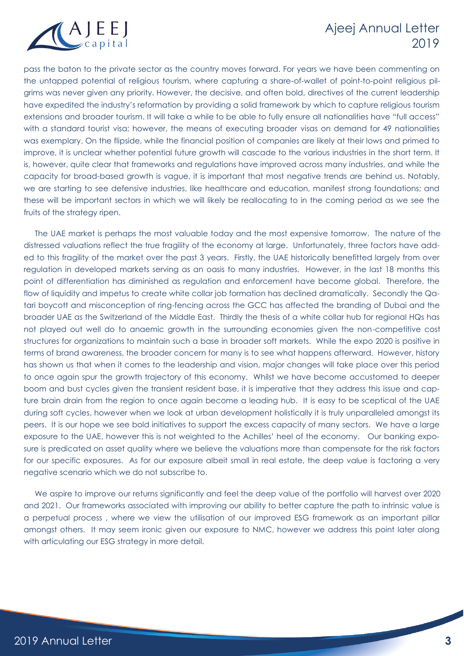

pass the baton to the private sector as the country moves forward. For years we have been commenting on the untapped potential of religious tourism, where capturing a share-of-wallet of point-to-point religious pilgrims was never given any priority. However, the decisive, and often bold, directives of the current leadership have expedited the industry's reformation by providing a solid framework by which to capture religious tourism extensions and broader tourism. It will take a while to be able to fully ensure all nationalities have "full access" with a standard tourist visa; however, the means of executing broader visas on demand for 49 nationalities was exemplary. On the flipside, while the financial position of companies are likely at their lows and primed to improve, it is unclear whether potential future growth will cascade to the various industries in the short term. It is, however, quite clear that frameworks and regulations have improved across many industries, and while the capacity for broad-based growth is vague, it is important that most negative trends are behind us. Notably, we are starting to see defensive industries, like healthcare and education, manifest strong foundations; and these will be important sectors in which we will likely be reallocating to in the coming period as we see the fruits of the strategy ripen.

The UAE market is perhaps the most valuable today and the most expensive tomorrow. The nature of the distressed valuations reflect the true fragility of the economy at large. Unfortunately, three factors have added to this fragility of the market over the past 3 years. Firstly, the UAE historically benefitted largely from over regulation in developed markets serving as an oasis to many industries. However, in the last 18 months this point of differentiation has diminished as regulation and enforcement have become global. Therefore, the flow of liquidity and impetus to create white collar job formation has declined dramatically. Secondly the Qatari boycott and misconception of ring-fencing across the GCC has affected the branding of Dubai and the broader UAE as the Switzerland of the Middle East. Thirdly the thesis of a white collar hub for regional HQs has not played out well do to anaemic growth in the surrounding economies given the non-competitive cost structures for organizations to maintain such a base in broader soft markets. While the expo 2020 is positive in terms of brand awareness, the broader concern for many is to see what happens afterward. However, history has shown us that when it comes to the leadership and vision, major changes will take place over this period to once again spur the growth trajectory of this economy. Whilst we have become accustomed to deeper boom and bust cycles given the transient resident base, it is imperative that they address this issue and capture brain drain from the region to once again become a leading hub. It is easy to be sceptical of the UAE during soft cycles, however when we look at urban development holistically it is truly unparalleled amongst its peers. It is our hope we see bold initiatives to support the excess capacity of many sectors. We have a large exposure to the UAE, however this is not weighted to the Achilles' heel of the economy. Our banking exposure is predicated on asset quality where we believe the valuations more than compensate for the risk factors for our specific exposures. As for our exposure albeit small in real estate, the deep value is factoring a very negative scenario which we do not subscribe to.

We aspire to improve our returns significantly and feel the deep value of the portfolio will harvest over 2020 and 2021. Our frameworks associated with improving our ability to better capture the path to intrinsic value is a perpetual process , where we view the utilisation of our improved ESG framework as an important pillar amongst others. It may seem ironic given our exposure to NMC, however we address this point later along with articulating our ESG strategy in more detail.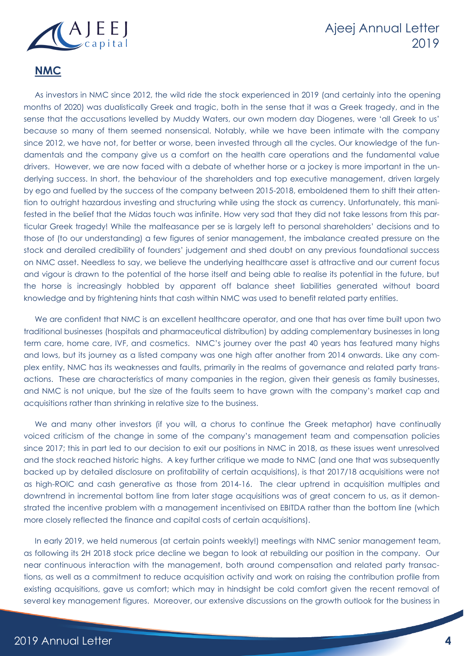

#### **NMC**

As investors in NMC since 2012, the wild ride the stock experienced in 2019 (and certainly into the opening months of 2020) was dualistically Greek and tragic, both in the sense that it was a Greek tragedy, and in the sense that the accusations levelled by Muddy Waters, our own modern day Diogenes, were 'all Greek to us' because so many of them seemed nonsensical. Notably, while we have been intimate with the company since 2012, we have not, for better or worse, been invested through all the cycles. Our knowledge of the fundamentals and the company give us a comfort on the health care operations and the fundamental value drivers. However, we are now faced with a debate of whether horse or a jockey is more important in the underlying success. In short, the behaviour of the shareholders and top executive management, driven largely by ego and fuelled by the success of the company between 2015-2018, emboldened them to shift their attention to outright hazardous investing and structuring while using the stock as currency. Unfortunately, this manifested in the belief that the Midas touch was infinite. How very sad that they did not take lessons from this particular Greek tragedy! While the malfeasance per se is largely left to personal shareholders' decisions and to those of (to our understanding) a few figures of senior management, the imbalance created pressure on the stock and derailed credibility of founders' judgement and shed doubt on any previous foundational success on NMC asset. Needless to say, we believe the underlying healthcare asset is attractive and our current focus and vigour is drawn to the potential of the horse itself and being able to realise its potential in the future, but the horse is increasingly hobbled by apparent off balance sheet liabilities generated without board knowledge and by frightening hints that cash within NMC was used to benefit related party entities.

We are confident that NMC is an excellent healthcare operator, and one that has over time built upon two traditional businesses (hospitals and pharmaceutical distribution) by adding complementary businesses in long term care, home care, IVF, and cosmetics. NMC's journey over the past 40 years has featured many highs and lows, but its journey as a listed company was one high after another from 2014 onwards. Like any complex entity, NMC has its weaknesses and faults, primarily in the realms of governance and related party transactions. These are characteristics of many companies in the region, given their genesis as family businesses, and NMC is not unique, but the size of the faults seem to have grown with the company's market cap and acquisitions rather than shrinking in relative size to the business.

We and many other investors (if you will, a chorus to continue the Greek metaphor) have continually voiced criticism of the change in some of the company's management team and compensation policies since 2017; this in part led to our decision to exit our positions in NMC in 2018, as these issues went unresolved and the stock reached historic highs. A key further critique we made to NMC (and one that was subsequently backed up by detailed disclosure on profitability of certain acquisitions), is that 2017/18 acquisitions were not as high-ROIC and cash generative as those from 2014-16. The clear uptrend in acquisition multiples and downtrend in incremental bottom line from later stage acquisitions was of great concern to us, as it demonstrated the incentive problem with a management incentivised on EBITDA rather than the bottom line (which more closely reflected the finance and capital costs of certain acquisitions).

In early 2019, we held numerous (at certain points weekly!) meetings with NMC senior management team, as following its 2H 2018 stock price decline we began to look at rebuilding our position in the company. Our near continuous interaction with the management, both around compensation and related party transactions, as well as a commitment to reduce acquisition activity and work on raising the contribution profile from existing acquisitions, gave us comfort; which may in hindsight be cold comfort given the recent removal of several key management figures. Moreover, our extensive discussions on the growth outlook for the business in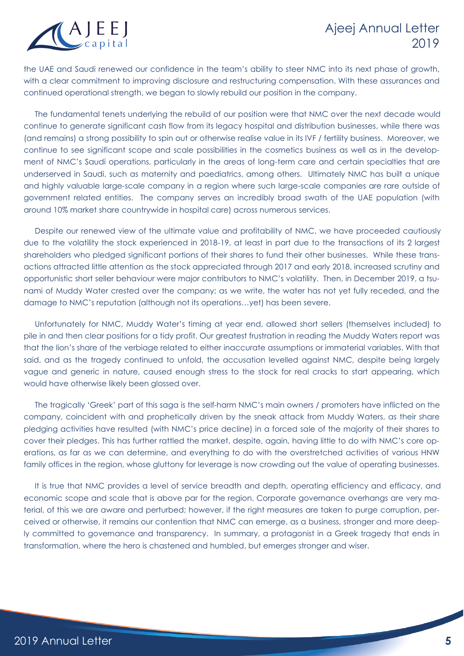

the UAE and Saudi renewed our confidence in the team's ability to steer NMC into its next phase of growth, with a clear commitment to improving disclosure and restructuring compensation. With these assurances and continued operational strength, we began to slowly rebuild our position in the company.

The fundamental tenets underlying the rebuild of our position were that NMC over the next decade would continue to generate significant cash flow from its legacy hospital and distribution businesses, while there was (and remains) a strong possibility to spin out or otherwise realise value in its IVF / fertility business. Moreover, we continue to see significant scope and scale possibilities in the cosmetics business as well as in the development of NMC's Saudi operations, particularly in the areas of long-term care and certain specialties that are underserved in Saudi, such as maternity and paediatrics, among others. Ultimately NMC has built a unique and highly valuable large-scale company in a region where such large-scale companies are rare outside of government related entities. The company serves an incredibly broad swath of the UAE population (with around 10% market share countrywide in hospital care) across numerous services.

Despite our renewed view of the ultimate value and profitability of NMC, we have proceeded cautiously due to the volatility the stock experienced in 2018-19, at least in part due to the transactions of its 2 largest shareholders who pledged significant portions of their shares to fund their other businesses. While these transactions attracted little attention as the stock appreciated through 2017 and early 2018, increased scrutiny and opportunistic short seller behaviour were major contributors to NMC's volatility. Then, in December 2019, a tsunami of Muddy Water crested over the company; as we write, the water has not yet fully receded, and the damage to NMC's reputation (although not its operations…yet) has been severe.

Unfortunately for NMC, Muddy Water's timing at year end, allowed short sellers (themselves included) to pile in and then clear positions for a tidy profit. Our greatest frustration in reading the Muddy Waters report was that the lion's share of the verbiage related to either inaccurate assumptions or immaterial variables. With that said, and as the tragedy continued to unfold, the accusation levelled against NMC, despite being largely vague and generic in nature, caused enough stress to the stock for real cracks to start appearing, which would have otherwise likely been glossed over.

The tragically 'Greek' part of this saga is the self-harm NMC's main owners / promoters have inflicted on the company, coincident with and prophetically driven by the sneak attack from Muddy Waters, as their share pledging activities have resulted (with NMC's price decline) in a forced sale of the majority of their shares to cover their pledges. This has further rattled the market, despite, again, having little to do with NMC's core operations, as far as we can determine, and everything to do with the overstretched activities of various HNW family offices in the region, whose gluttony for leverage is now crowding out the value of operating businesses.

It is true that NMC provides a level of service breadth and depth, operating efficiency and efficacy, and economic scope and scale that is above par for the region. Corporate governance overhangs are very material, of this we are aware and perturbed; however, if the right measures are taken to purge corruption, perceived or otherwise, it remains our contention that NMC can emerge, as a business, stronger and more deeply committed to governance and transparency. In summary, a protagonist in a Greek tragedy that ends in transformation, where the hero is chastened and humbled, but emerges stronger and wiser.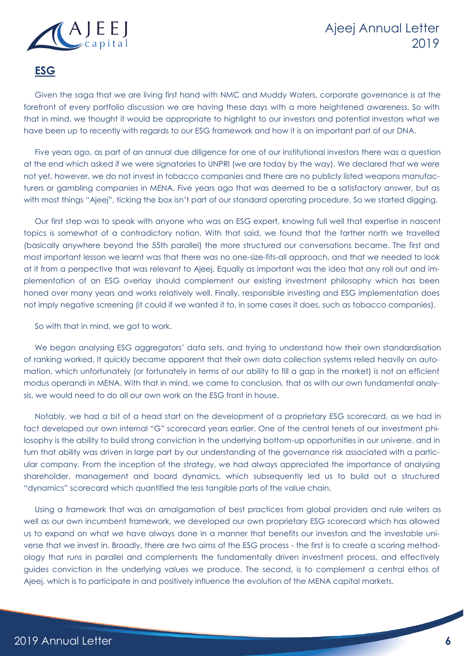

#### **ESG**

Given the saga that we are living first hand with NMC and Muddy Waters, corporate governance is at the forefront of every portfolio discussion we are having these days with a more heightened awareness. So with that in mind, we thought it would be appropriate to highlight to our investors and potential investors what we have been up to recently with regards to our ESG framework and how it is an important part of our DNA.

Five years ago, as part of an annual due diligence for one of our institutional investors there was a question at the end which asked if we were signatories to UNPRI (we are today by the way). We declared that we were not yet, however, we do not invest in tobacco companies and there are no publicly listed weapons manufacturers or gambling companies in MENA. Five years ago that was deemed to be a satisfactory answer, but as with most things "Ajeej", ticking the box isn't part of our standard operating procedure. So we started digging.

Our first step was to speak with anyone who was an ESG expert, knowing full well that expertise in nascent topics is somewhat of a contradictory notion. With that said, we found that the farther north we travelled (basically anywhere beyond the 55th parallel) the more structured our conversations became. The first and most important lesson we learnt was that there was no one-size-fits-all approach, and that we needed to look at it from a perspective that was relevant to Ajeej. Equally as important was the idea that any roll out and implementation of an ESG overlay should complement our existing investment philosophy which has been honed over many years and works relatively well. Finally, responsible investing and ESG implementation does not imply negative screening (it could if we wanted it to, in some cases it does, such as tobacco companies).

So with that in mind, we got to work.

We began analysing ESG aggregators' data sets, and trying to understand how their own standardisation of ranking worked. It quickly became apparent that their own data collection systems relied heavily on automation, which unfortunately (or fortunately in terms of our ability to fill a gap in the market) is not an efficient modus operandi in MENA. With that in mind, we came to conclusion, that as with our own fundamental analysis, we would need to do all our own work on the ESG front in house.

Notably, we had a bit of a head start on the development of a proprietary ESG scorecard, as we had in fact developed our own internal "G" scorecard years earlier. One of the central tenets of our investment philosophy is the ability to build strong conviction in the underlying bottom-up opportunities in our universe, and in turn that ability was driven in large part by our understanding of the governance risk associated with a particular company. From the inception of the strategy, we had always appreciated the importance of analysing shareholder, management and board dynamics, which subsequently led us to build out a structured "dynamics" scorecard which quantified the less tangible parts of the value chain.

Using a framework that was an amalgamation of best practices from global providers and rule writers as well as our own incumbent framework, we developed our own proprietary ESG scorecard which has allowed us to expand on what we have always done in a manner that benefits our investors and the investable universe that we invest in. Broadly, there are two aims of the ESG process - the first is to create a scoring methodology that runs in parallel and complements the fundamentally driven investment process, and effectively guides conviction in the underlying values we produce. The second, is to complement a central ethos of Ajeej, which is to participate in and positively influence the evolution of the MENA capital markets.